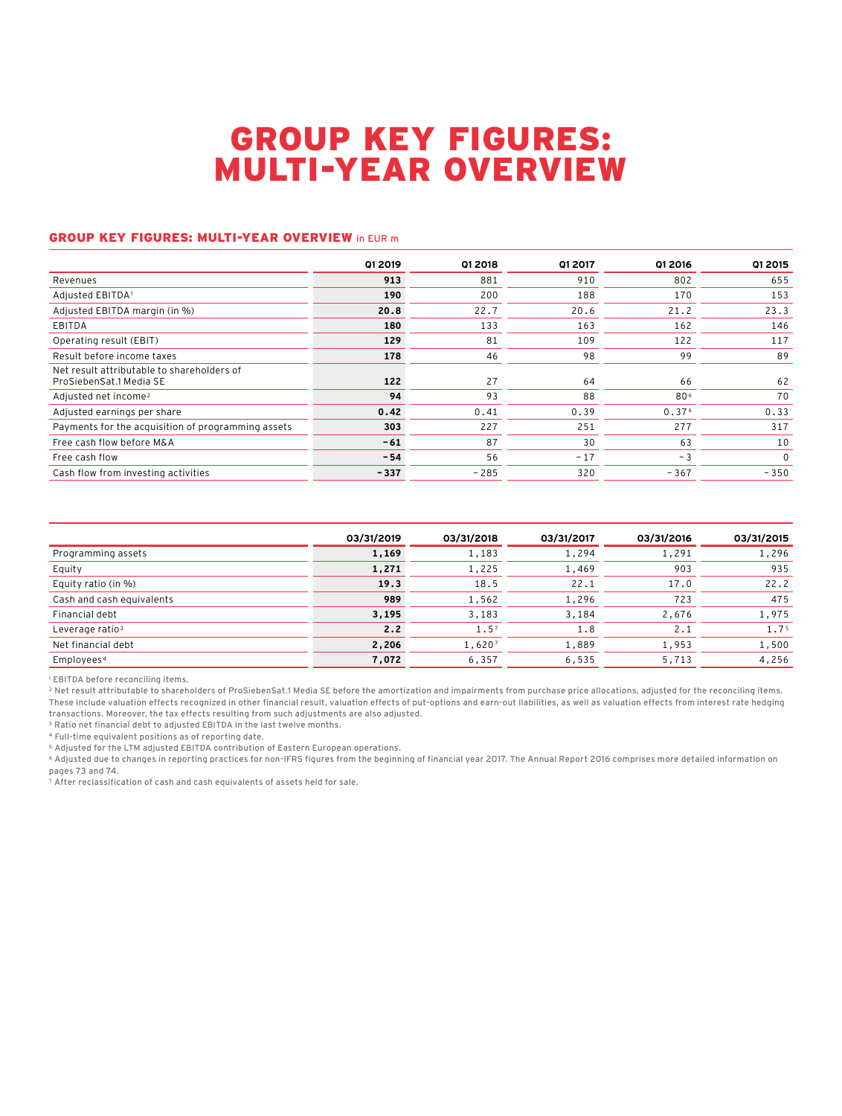## GROUP KEY FIGURES: MULTI-YEAR OVERVIEW

#### GROUP KEY FIGURES: MULTI-YEAR OVERVIEW in EUR m

| Q1 2019 | Q1 2018 | Q1 2017 | Q1 2016           | <b>Q1 2015</b> |
|---------|---------|---------|-------------------|----------------|
| 913     | 881     | 910     | 802               | 655            |
| 190     | 200     | 188     | 170               | 153            |
| 20.8    | 22.7    | 20.6    | 21.2              | 23.3           |
| 180     | 133     | 163     | 162               | 146            |
| 129     | 81      | 109     | 122               | 117            |
| 178     | 46      | 98      | 99                | 89             |
| 122     | 27      | 64      | 66                | 62             |
| 94      | 93      | 88      | 806               | 70             |
| 0.42    | 0.41    | 0.39    | 0.37 <sup>6</sup> | 0.33           |
| 303     | 227     | 251     | 277               | 317            |
| $-61$   | 87      | 30      | 63                | 10             |
| $-54$   | 56      | $-17$   | $-3$              | $\mathbf{0}$   |
| $-337$  | $-285$  | 320     | $-367$            | $-350$         |
|         |         |         |                   |                |

|                             | 03/31/2019 | 03/31/2018       | 03/31/2017 | 03/31/2016 | 03/31/2015       |
|-----------------------------|------------|------------------|------------|------------|------------------|
| Programming assets          | 1,169      | 1,183            | 1,294      | 1,291      | 1,296            |
| Equity                      | 1,271      | 1,225            | 1,469      | 903        | 935              |
| Equity ratio (in %)         | 19.3       | 18.5             | 22.1       | 17.0       | 22.2             |
| Cash and cash equivalents   | 989        | 1,562            | 1,296      | 723        | 475              |
| Financial debt              | 3,195      | 3,183            | 3,184      | 2,676      | 1,975            |
| Leverage ratio <sup>3</sup> | 2.2        | 1.5 <sup>7</sup> | 1.8        | 2.1        | 1.7 <sup>5</sup> |
| Net financial debt          | 2,206      | 1,6207           | 1,889      | 1,953      | 1,500            |
| Employees <sup>4</sup>      | 7,072      | 6,357            | 6,535      | 5,713      | 4,256            |

<sup>1</sup> EBITDA before reconciling items.

2 Net result attributable to shareholders of ProSiebenSat.1 Media SE before the amortization and impairments from purchase price allocations, adjusted for the reconciling items. These include valuation effects recognized in other financial result, valuation effects of put-options and earn-out liabilities, as well as valuation effects from interest rate hedging transactions. Moreover, the tax effects resulting from such adjustments are also adjusted.

3 Ratio net financial debt to adjusted EBITDA in the last twelve months.

4 Full-time equivalent positions as of reporting date.

5 Adjusted for the LTM adjusted EBITDA contribution of Eastern European operations.

6 Adjusted due to changes in reporting practices for non-IFRS figures from the beginning of financial year 2017. The Annual Report 2016 comprises more detailed information on pages 73 and 74.

.<br>7 After reclassification of cash and cash equivalents of assets held for sale.